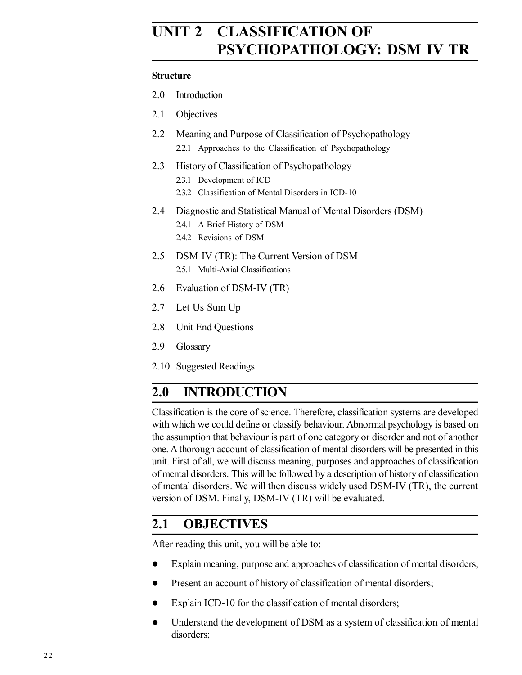# **UNIT 2 CLASSIFICATION OF PSYCHOPATHOLOGY: DSM IV TR**

#### **Structure**

- 2.0 Introduction
- 2.1 Objectives
- 2.2 Meaning and Purpose of Classification of Psychopathology 2.2.1 Approaches to the Classification of Psychopathology
- 2.3 History of Classification of Psychopathology
	- 2.3.1 Development of ICD
	- 2.3.2 Classification of Mental Disorders in ICD-10
- 2.4 Diagnostic and Statistical Manual of Mental Disorders (DSM)
	- 2.4.1 A Brief History of DSM
	- 2.4.2 Revisions of DSM
- 2.5 DSM-IV (TR): The Current Version of DSM 2.5.1 Multi-Axial Classifications
- 2.6 Evaluation of DSM-IV (TR)
- 2.7 Let Us Sum Up
- 2.8 Unit End Questions
- 2.9 Glossary
- 2.10 Suggested Readings

## **2.0 INTRODUCTION**

Classification is the core of science. Therefore, classification systems are developed with which we could define or classify behaviour. Abnormal psychology is based on the assumption that behaviour is part of one category or disorder and not of another one. A thorough account of classification of mental disorders will be presented in this unit. First of all, we will discuss meaning, purposes and approaches of classification of mental disorders. This will be followed by a description of history of classification of mental disorders. We will then discuss widely used DSM-IV (TR), the current version of DSM. Finally, DSM-IV (TR) will be evaluated.

## **2.1 OBJECTIVES**

After reading this unit, you will be able to:

- Explain meaning, purpose and approaches of classification of mental disorders;
- Present an account of history of classification of mental disorders;
- Explain ICD-10 for the classification of mental disorders;
- Understand the development of DSM as a system of classification of mental disorders;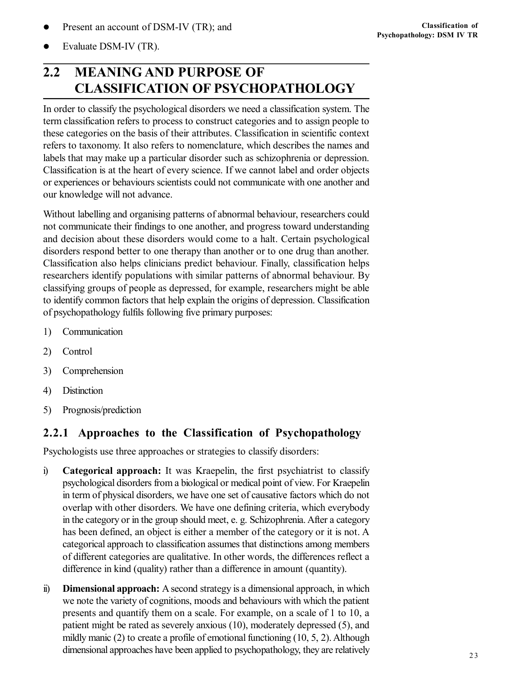Present an account of DSM-IV (TR); and

**Classification of Psychopathology: DSM IV TR**

Evaluate DSM-IV (TR).

# **2.2 MEANING AND PURPOSE OF CLASSIFICATION OF PSYCHOPATHOLOGY**

In order to classify the psychological disorders we need a classification system. The term classification refers to process to construct categories and to assign people to these categories on the basis of their attributes. Classification in scientific context refers to taxonomy. It also refers to nomenclature, which describes the names and labels that may make up a particular disorder such as schizophrenia or depression. Classification is at the heart of every science. If we cannot label and order objects or experiences or behaviours scientists could not communicate with one another and our knowledge will not advance.

Without labelling and organising patterns of abnormal behaviour, researchers could not communicate their findings to one another, and progress toward understanding and decision about these disorders would come to a halt. Certain psychological disorders respond better to one therapy than another or to one drug than another. Classification also helps clinicians predict behaviour. Finally, classification helps researchers identify populations with similar patterns of abnormal behaviour. By classifying groups of people as depressed, for example, researchers might be able to identify common factors that help explain the origins of depression. Classification of psychopathology fulfils following five primary purposes:

- 1) Communication
- 2) Control
- 3) Comprehension
- 4) Distinction
- 5) Prognosis/prediction

### **2.2.1 Approaches to the Classification of Psychopathology**

Psychologists use three approaches or strategies to classify disorders:

- i) **Categorical approach:** It was Kraepelin, the first psychiatrist to classify psychological disorders from a biological or medical point of view. For Kraepelin in term of physical disorders, we have one set of causative factors which do not overlap with other disorders. We have one defining criteria, which everybody in the category or in the group should meet, e. g. Schizophrenia. After a category has been defined, an object is either a member of the category or it is not. A categorical approach to classification assumes that distinctions among members of different categories are qualitative. In other words, the differences reflect a difference in kind (quality) rather than a difference in amount (quantity).
- ii) **Dimensional approach:** A second strategy is a dimensional approach, in which we note the variety of cognitions, moods and behaviours with which the patient presents and quantify them on a scale. For example, on a scale of 1 to 10, a patient might be rated as severely anxious (10), moderately depressed (5), and mildly manic (2) to create a profile of emotional functioning (10, 5, 2). Although dimensional approaches have been applied to psychopathology, they are relatively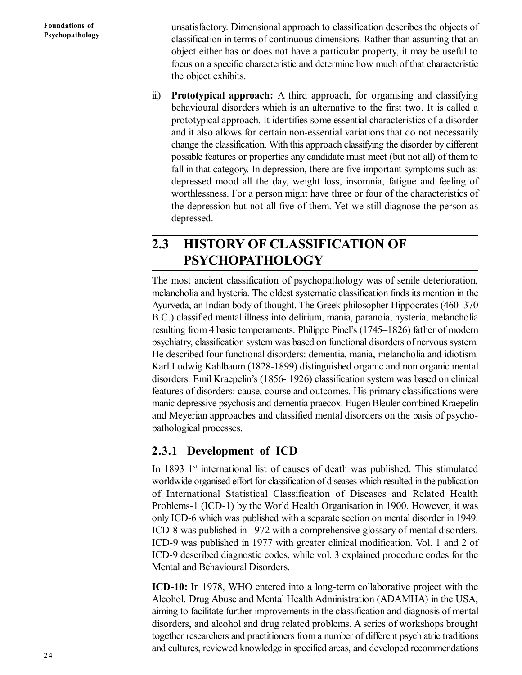unsatisfactory. Dimensional approach to classification describes the objects of classification in terms of continuous dimensions. Rather than assuming that an object either has or does not have a particular property, it may be useful to focus on a specific characteristic and determine how much of that characteristic the object exhibits.

iii) **Prototypical approach:** A third approach, for organising and classifying behavioural disorders which is an alternative to the first two. It is called a prototypical approach. It identifies some essential characteristics of a disorder and it also allows for certain non-essential variations that do not necessarily change the classification. With this approach classifying the disorder by different possible features or properties any candidate must meet (but not all) of them to fall in that category. In depression, there are five important symptoms such as: depressed mood all the day, weight loss, insomnia, fatigue and feeling of worthlessness. For a person might have three or four of the characteristics of the depression but not all five of them. Yet we still diagnose the person as depressed.

## **2.3 HISTORY OF CLASSIFICATION OF PSYCHOPATHOLOGY**

The most ancient classification of psychopathology was of senile deterioration, melancholia and hysteria. The oldest systematic classification finds its mention in the Ayurveda, an Indian body of thought. The Greek philosopher Hippocrates (460–370 B.C.) classified mental illness into delirium, mania, paranoia, hysteria, melancholia resulting from 4 basic temperaments. Philippe Pinel's (1745–1826) father of modern psychiatry, classification system was based on functional disorders of nervous system. He described four functional disorders: dementia, mania, melancholia and idiotism. Karl Ludwig Kahlbaum (1828-1899) distinguished organic and non organic mental disorders. Emil Kraepelin's (1856- 1926) classification system was based on clinical features of disorders: cause, course and outcomes. His primary classifications were manic depressive psychosis and dementia praecox. Eugen Bleuler combined Kraepelin and Meyerian approaches and classified mental disorders on the basis of psychopathological processes.

#### **2.3.1 Development of ICD**

In 1893  $1<sup>st</sup>$  international list of causes of death was published. This stimulated worldwide organised effort for classification of diseases which resulted in the publication of International Statistical Classification of Diseases and Related Health Problems-1 (ICD-1) by the World Health Organisation in 1900. However, it was only ICD-6 which was published with a separate section on mental disorder in 1949. ICD-8 was published in 1972 with a comprehensive glossary of mental disorders. ICD-9 was published in 1977 with greater clinical modification. Vol. 1 and 2 of ICD-9 described diagnostic codes, while vol. 3 explained procedure codes for the Mental and Behavioural Disorders.

**ICD-10:** In 1978, WHO entered into a long-term collaborative project with the Alcohol, Drug Abuse and Mental Health Administration (ADAMHA) in the USA, aiming to facilitate further improvements in the classification and diagnosis of mental disorders, and alcohol and drug related problems. A series of workshops brought together researchers and practitioners from a number of different psychiatric traditions and cultures, reviewed knowledge in specified areas, and developed recommendations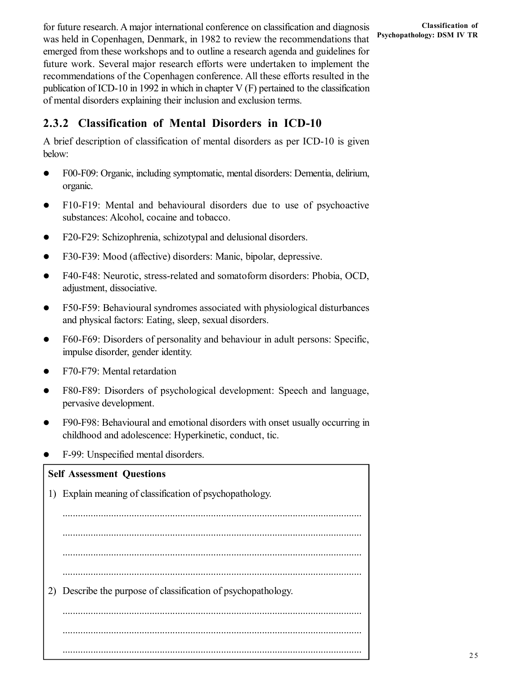for future research. A major international conference on classification and diagnosis was held in Copenhagen, Denmark, in 1982 to review the recommendations that emerged from these workshops and to outline a research agenda and guidelines for future work. Several major research efforts were undertaken to implement the recommendations of the Copenhagen conference. All these efforts resulted in the publication of ICD-10 in 1992 in which in chapter V (F) pertained to the classification of mental disorders explaining their inclusion and exclusion terms.

### **2.3.2 Classification of Mental Disorders in ICD-10**

A brief description of classification of mental disorders as per ICD-10 is given below:

- F00-F09: Organic, including symptomatic, mental disorders: Dementia, delirium, organic.
- F10-F19: Mental and behavioural disorders due to use of psychoactive substances: Alcohol, cocaine and tobacco.
- F20-F29: Schizophrenia, schizotypal and delusional disorders.
- F30-F39: Mood (affective) disorders: Manic, bipolar, depressive.
- F40-F48: Neurotic, stress-related and somatoform disorders: Phobia, OCD, adjustment, dissociative.
- F50-F59: Behavioural syndromes associated with physiological disturbances and physical factors: Eating, sleep, sexual disorders.
- F60-F69: Disorders of personality and behaviour in adult persons: Specific, impulse disorder, gender identity.
- F70-F79: Mental retardation
- F80-F89: Disorders of psychological development: Speech and language, pervasive development.
- F90-F98: Behavioural and emotional disorders with onset usually occurring in childhood and adolescence: Hyperkinetic, conduct, tic.
- F-99: Unspecified mental disorders.

# **Self Assessment Questions** 1) Explain meaning of classification of psychopathology. ..................................................................................................................... ..................................................................................................................... ..................................................................................................................... ..................................................................................................................... 2) Describe the purpose of classification of psychopathology. ..................................................................................................................... ..................................................................................................................... .....................................................................................................................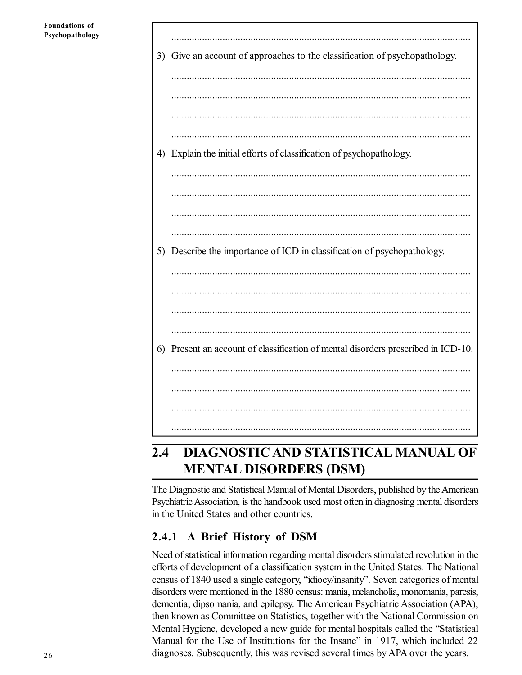

# **2.4 DIAGNOSTIC AND STATISTICAL MANUAL OF MENTAL DISORDERS (DSM)**

The Diagnostic and Statistical Manual of Mental Disorders, published by the American Psychiatric Association, is the handbook used most often in diagnosing mental disorders in the United States and other countries.

### **2.4.1 A Brief History of DSM**

Need of statistical information regarding mental disorders stimulated revolution in the efforts of development of a classification system in the United States. The National census of 1840 used a single category, "idiocy/insanity". Seven categories of mental disorders were mentioned in the 1880 census: mania, melancholia, monomania, paresis, dementia, dipsomania, and epilepsy. The American Psychiatric Association (APA), then known as Committee on Statistics, together with the National Commission on Mental Hygiene, developed a new guide for mental hospitals called the "Statistical Manual for the Use of Institutions for the Insane" in 1917, which included 22 diagnoses. Subsequently, this was revised several times by APA over the years.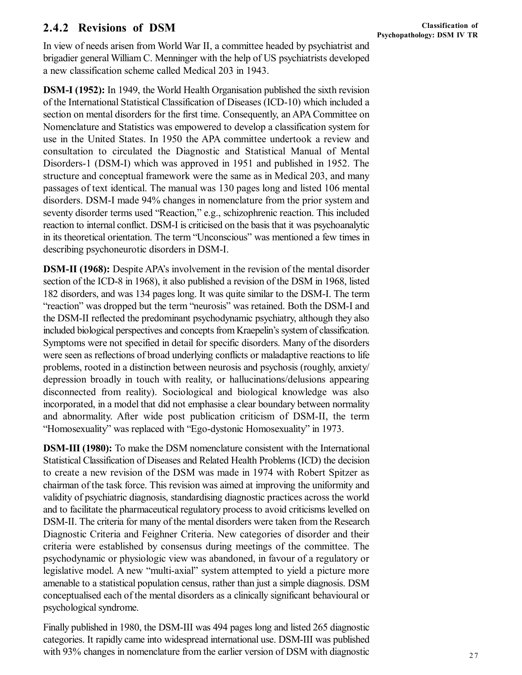#### **2.4.2 Revisions of DSM**

In view of needs arisen from World War II, a committee headed by psychiatrist and brigadier general William C. Menninger with the help of US psychiatrists developed a new classification scheme called Medical 203 in 1943.

**DSM-I (1952):** In 1949, the World Health Organisation published the sixth revision of the International Statistical Classification of Diseases (ICD-10) which included a section on mental disorders for the first time. Consequently, an APA Committee on

Nomenclature and Statistics was empowered to develop a classification system for use in the United States. In 1950 the APA committee undertook a review and consultation to circulated the Diagnostic and Statistical Manual of Mental Disorders-1 (DSM-I) which was approved in 1951 and published in 1952. The structure and conceptual framework were the same as in Medical 203, and many passages of text identical. The manual was 130 pages long and listed 106 mental disorders. DSM-I made 94% changes in nomenclature from the prior system and seventy disorder terms used "Reaction," e.g., schizophrenic reaction. This included reaction to internal conflict. DSM-I is criticised on the basis that it was psychoanalytic in its theoretical orientation. The term "Unconscious" was mentioned a few times in describing psychoneurotic disorders in DSM-I.

**DSM-II (1968):** Despite APA's involvement in the revision of the mental disorder section of the ICD-8 in 1968), it also published a revision of the DSM in 1968, listed 182 disorders, and was 134 pages long. It was quite similar to the DSM-I. The term "reaction" was dropped but the term "neurosis" was retained. Both the DSM-I and the DSM-II reflected the predominant psychodynamic psychiatry, although they also included biological perspectives and concepts from Kraepelin's system of classification. Symptoms were not specified in detail for specific disorders. Many of the disorders were seen as reflections of broad underlying conflicts or maladaptive reactions to life problems, rooted in a distinction between neurosis and psychosis (roughly, anxiety/ depression broadly in touch with reality, or hallucinations/delusions appearing disconnected from reality). Sociological and biological knowledge was also incorporated, in a model that did not emphasise a clear boundary between normality and abnormality. After wide post publication criticism of DSM-II, the term "Homosexuality" was replaced with "Ego-dystonic Homosexuality" in 1973.

**DSM-III (1980):** To make the DSM nomenclature consistent with the International Statistical Classification of Diseases and Related Health Problems (ICD) the decision to create a new revision of the DSM was made in 1974 with Robert Spitzer as chairman of the task force. This revision was aimed at improving the uniformity and validity of psychiatric diagnosis, standardising diagnostic practices across the world and to facilitate the pharmaceutical regulatory process to avoid criticisms levelled on DSM-II. The criteria for many of the mental disorders were taken from the Research Diagnostic Criteria and Feighner Criteria. New categories of disorder and their criteria were established by consensus during meetings of the committee. The psychodynamic or physiologic view was abandoned, in favour of a regulatory or legislative model. A new "multi-axial" system attempted to yield a picture more amenable to a statistical population census, rather than just a simple diagnosis. DSM conceptualised each of the mental disorders as a clinically significant behavioural or psychological syndrome.

Finally published in 1980, the DSM-III was 494 pages long and listed 265 diagnostic categories. It rapidly came into widespread international use. DSM-III was published with 93% changes in nomenclature from the earlier version of DSM with diagnostic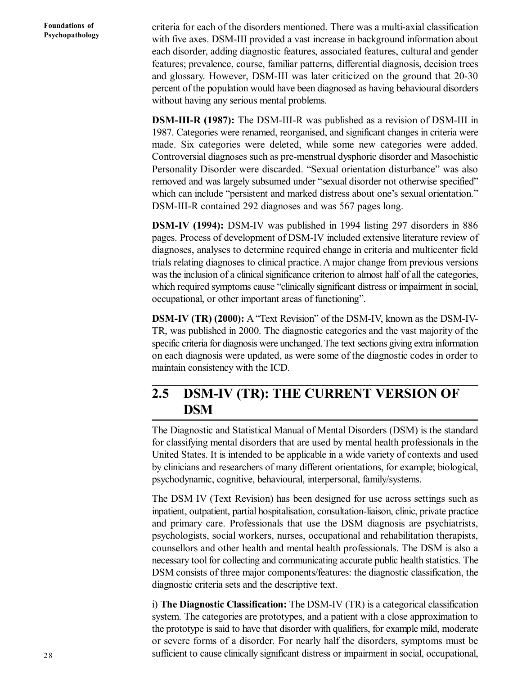criteria for each of the disorders mentioned. There was a multi-axial classification with five axes. DSM-III provided a vast increase in background information about each disorder, adding diagnostic features, associated features, cultural and gender features; prevalence, course, familiar patterns, differential diagnosis, decision trees and glossary. However, DSM-III was later criticized on the ground that 20-30 percent of the population would have been diagnosed as having behavioural disorders without having any serious mental problems.

**DSM-III-R (1987):** The DSM-III-R was published as a revision of DSM-III in 1987. Categories were renamed, reorganised, and significant changes in criteria were made. Six categories were deleted, while some new categories were added. Controversial diagnoses such as pre-menstrual dysphoric disorder and Masochistic Personality Disorder were discarded. "Sexual orientation disturbance" was also removed and was largely subsumed under "sexual disorder not otherwise specified" which can include "persistent and marked distress about one's sexual orientation." DSM-III-R contained 292 diagnoses and was 567 pages long.

**DSM-IV (1994):** DSM-IV was published in 1994 listing 297 disorders in 886 pages. Process of development of DSM-IV included extensive literature review of diagnoses, analyses to determine required change in criteria and multicenter field trials relating diagnoses to clinical practice. A major change from previous versions was the inclusion of a clinical significance criterion to almost half of all the categories, which required symptoms cause "clinically significant distress or impairment in social, occupational, or other important areas of functioning".

**DSM-IV (TR) (2000):** A "Text Revision" of the DSM-IV, known as the DSM-IV-TR, was published in 2000. The diagnostic categories and the vast majority of the specific criteria for diagnosis were unchanged.The text sections giving extra information on each diagnosis were updated, as were some of the diagnostic codes in order to maintain consistency with the ICD.

### **2.5 DSM-IV (TR): THE CURRENT VERSION OF DSM**

The Diagnostic and Statistical Manual of Mental Disorders (DSM) is the standard for classifying mental disorders that are used by mental health professionals in the United States. It is intended to be applicable in a wide variety of contexts and used by clinicians and researchers of many different orientations, for example; biological, psychodynamic, cognitive, behavioural, interpersonal, family/systems.

The DSM IV (Text Revision) has been designed for use across settings such as inpatient, outpatient, partial hospitalisation, consultation-liaison, clinic, private practice and primary care. Professionals that use the DSM diagnosis are psychiatrists, psychologists, social workers, nurses, occupational and rehabilitation therapists, counsellors and other health and mental health professionals. The DSM is also a necessary tool for collecting and communicating accurate public health statistics. The DSM consists of three major components/features: the diagnostic classification, the diagnostic criteria sets and the descriptive text.

i) **The Diagnostic Classification:** The DSM-IV (TR) is a categorical classification system. The categories are prototypes, and a patient with a close approximation to the prototype is said to have that disorder with qualifiers, for example mild, moderate or severe forms of a disorder. For nearly half the disorders, symptoms must be sufficient to cause clinically significant distress or impairment in social, occupational,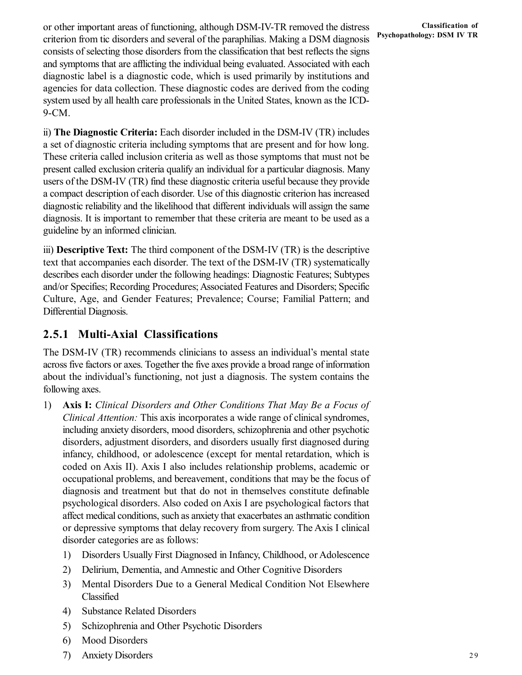**Classification of**

**Psychopathology: DSM IV TR**

ii) **The Diagnostic Criteria:** Each disorder included in the DSM-IV (TR) includes a set of diagnostic criteria including symptoms that are present and for how long. These criteria called inclusion criteria as well as those symptoms that must not be present called exclusion criteria qualify an individual for a particular diagnosis. Many users of the DSM-IV (TR) find these diagnostic criteria useful because they provide a compact description of each disorder. Use of this diagnostic criterion has increased diagnostic reliability and the likelihood that different individuals will assign the same diagnosis. It is important to remember that these criteria are meant to be used as a guideline by an informed clinician.

iii) **Descriptive Text:** The third component of the DSM-IV (TR) is the descriptive text that accompanies each disorder. The text of the DSM-IV (TR) systematically describes each disorder under the following headings: Diagnostic Features; Subtypes and/or Specifies; Recording Procedures; Associated Features and Disorders; Specific Culture, Age, and Gender Features; Prevalence; Course; Familial Pattern; and Differential Diagnosis.

### **2.5.1 Multi-Axial Classifications**

The DSM-IV (TR) recommends clinicians to assess an individual's mental state across five factors or axes. Together the five axes provide a broad range of information about the individual's functioning, not just a diagnosis. The system contains the following axes.

- 1) **Axis I:** *Clinical Disorders and Other Conditions That May Be a Focus of Clinical Attention:* This axis incorporates a wide range of clinical syndromes, including anxiety disorders, mood disorders, schizophrenia and other psychotic disorders, adjustment disorders, and disorders usually first diagnosed during infancy, childhood, or adolescence (except for mental retardation, which is coded on Axis II). Axis I also includes relationship problems, academic or occupational problems, and bereavement, conditions that may be the focus of diagnosis and treatment but that do not in themselves constitute definable psychological disorders. Also coded on Axis I are psychological factors that affect medical conditions, such as anxiety that exacerbates an asthmatic condition or depressive symptoms that delay recovery from surgery. The Axis I clinical disorder categories are as follows:
	- 1) Disorders Usually First Diagnosed in Infancy, Childhood, or Adolescence
	- 2) Delirium, Dementia, and Amnestic and Other Cognitive Disorders
	- 3) Mental Disorders Due to a General Medical Condition Not Elsewhere Classified
	- 4) Substance Related Disorders
	- 5) Schizophrenia and Other Psychotic Disorders
	- 6) Mood Disorders
	- 7) Anxiety Disorders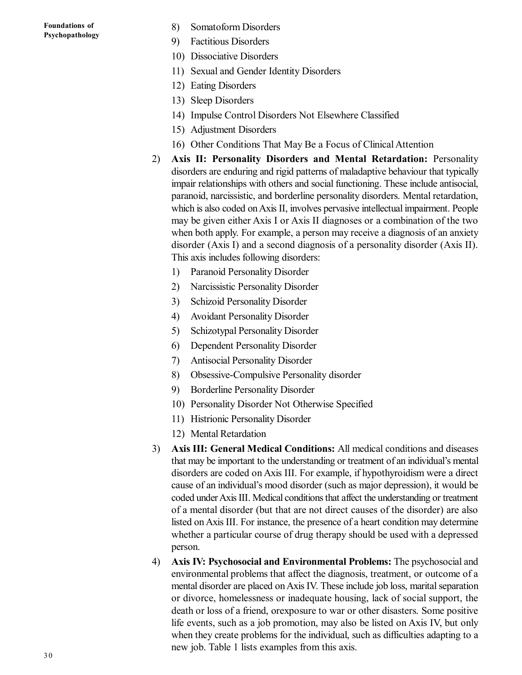- 8) Somatoform Disorders
- 9) Factitious Disorders
- 10) Dissociative Disorders
- 11) Sexual and Gender Identity Disorders
- 12) Eating Disorders
- 13) Sleep Disorders
- 14) Impulse Control Disorders Not Elsewhere Classified
- 15) Adjustment Disorders
- 16) Other Conditions That May Be a Focus of Clinical Attention
- 2) **Axis II: Personality Disorders and Mental Retardation:** Personality disorders are enduring and rigid patterns of maladaptive behaviour that typically impair relationships with others and social functioning. These include antisocial, paranoid, narcissistic, and borderline personality disorders. Mental retardation, which is also coded on Axis II, involves pervasive intellectual impairment. People may be given either Axis I or Axis II diagnoses or a combination of the two when both apply. For example, a person may receive a diagnosis of an anxiety disorder (Axis I) and a second diagnosis of a personality disorder (Axis II). This axis includes following disorders:
	- 1) Paranoid Personality Disorder
	- 2) Narcissistic Personality Disorder
	- 3) Schizoid Personality Disorder
	- 4) Avoidant Personality Disorder
	- 5) Schizotypal Personality Disorder
	- 6) Dependent Personality Disorder
	- 7) Antisocial Personality Disorder
	- 8) Obsessive-Compulsive Personality disorder
	- 9) Borderline Personality Disorder
	- 10) Personality Disorder Not Otherwise Specified
	- 11) Histrionic Personality Disorder
	- 12) Mental Retardation
- 3) **Axis III: General Medical Conditions:** All medical conditions and diseases that may be important to the understanding or treatment of an individual's mental disorders are coded on Axis III. For example, if hypothyroidism were a direct cause of an individual's mood disorder (such as major depression), it would be coded under Axis III. Medical conditions that affect the understanding or treatment of a mental disorder (but that are not direct causes of the disorder) are also listed on Axis III. For instance, the presence of a heart condition may determine whether a particular course of drug therapy should be used with a depressed person.
- 4) **Axis IV: Psychosocial and Environmental Problems:** The psychosocial and environmental problems that affect the diagnosis, treatment, or outcome of a mental disorder are placed on Axis IV. These include job loss, marital separation or divorce, homelessness or inadequate housing, lack of social support, the death or loss of a friend, orexposure to war or other disasters. Some positive life events, such as a job promotion, may also be listed on Axis IV, but only when they create problems for the individual, such as difficulties adapting to a new job. Table 1 lists examples from this axis.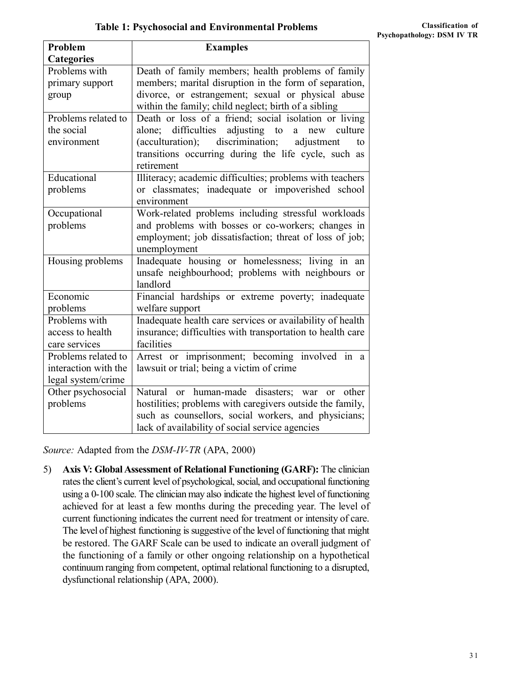| Problem              | <b>Examples</b>                                            |
|----------------------|------------------------------------------------------------|
| <b>Categories</b>    |                                                            |
| Problems with        | Death of family members; health problems of family         |
| primary support      | members; marital disruption in the form of separation,     |
| group                | divorce, or estrangement; sexual or physical abuse         |
|                      | within the family; child neglect; birth of a sibling       |
| Problems related to  | Death or loss of a friend; social isolation or living      |
| the social           | alone; difficulties adjusting to<br>a<br>new culture       |
| environment          | (acculturation);<br>discrimination;<br>adjustment<br>to    |
|                      | transitions occurring during the life cycle, such as       |
|                      | retirement                                                 |
| Educational          | Illiteracy; academic difficulties; problems with teachers  |
| problems             | or classmates; inadequate or impoverished school           |
|                      | environment                                                |
| Occupational         | Work-related problems including stressful workloads        |
| problems             | and problems with bosses or co-workers; changes in         |
|                      | employment; job dissatisfaction; threat of loss of job;    |
|                      | unemployment                                               |
| Housing problems     | Inadequate housing or homelessness; living in an           |
|                      | unsafe neighbourhood; problems with neighbours or          |
|                      | landlord                                                   |
| Economic             | Financial hardships or extreme poverty; inadequate         |
| problems             | welfare support                                            |
| Problems with        | Inadequate health care services or availability of health  |
| access to health     | insurance; difficulties with transportation to health care |
| care services        | facilities                                                 |
| Problems related to  | Arrest or imprisonment; becoming involved in a             |
| interaction with the | lawsuit or trial; being a victim of crime                  |
| legal system/crime   |                                                            |
| Other psychosocial   | Natural or human-made disasters; war or other              |
| problems             | hostilities; problems with caregivers outside the family,  |
|                      | such as counsellors, social workers, and physicians;       |
|                      | lack of availability of social service agencies            |

*Source:* Adapted from the *DSM-IV-TR* (APA, 2000)

5) **Axis V: Global Assessment of Relational Functioning (GARF):** The clinician rates the client's current level of psychological, social, and occupational functioning using a 0-100 scale. The clinician may also indicate the highest level of functioning achieved for at least a few months during the preceding year. The level of current functioning indicates the current need for treatment or intensity of care. The level of highest functioning is suggestive of the level of functioning that might be restored. The GARF Scale can be used to indicate an overall judgment of the functioning of a family or other ongoing relationship on a hypothetical continuum ranging from competent, optimal relational functioning to a disrupted, dysfunctional relationship (APA, 2000).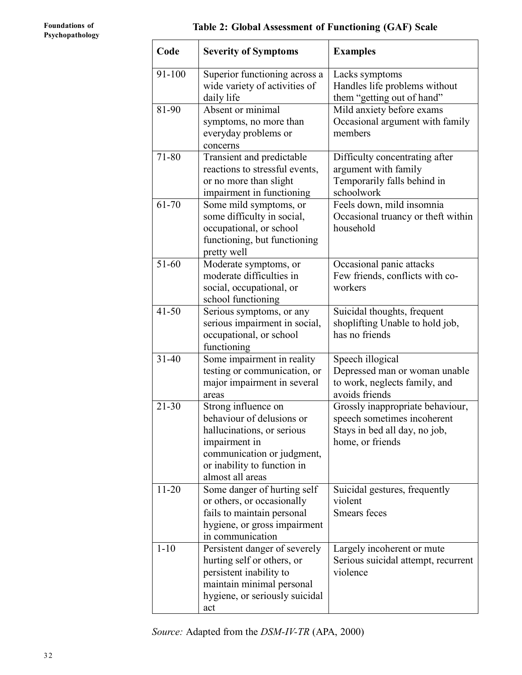| Code      | <b>Severity of Symptoms</b>                                                                                                                                                      | <b>Examples</b>                                                                                                      |
|-----------|----------------------------------------------------------------------------------------------------------------------------------------------------------------------------------|----------------------------------------------------------------------------------------------------------------------|
| 91-100    | Superior functioning across a<br>wide variety of activities of<br>daily life                                                                                                     | Lacks symptoms<br>Handles life problems without<br>them "getting out of hand"                                        |
| 81-90     | Absent or minimal<br>symptoms, no more than<br>everyday problems or<br>concerns                                                                                                  | Mild anxiety before exams<br>Occasional argument with family<br>members                                              |
| 71-80     | Transient and predictable<br>reactions to stressful events,<br>or no more than slight<br>impairment in functioning                                                               | Difficulty concentrating after<br>argument with family<br>Temporarily falls behind in<br>schoolwork                  |
| 61-70     | Some mild symptoms, or<br>some difficulty in social,<br>occupational, or school<br>functioning, but functioning<br>pretty well                                                   | Feels down, mild insomnia<br>Occasional truancy or theft within<br>household                                         |
| $51 - 60$ | Moderate symptoms, or<br>moderate difficulties in<br>social, occupational, or<br>school functioning                                                                              | Occasional panic attacks<br>Few friends, conflicts with co-<br>workers                                               |
| $41 - 50$ | Serious symptoms, or any<br>serious impairment in social,<br>occupational, or school<br>functioning                                                                              | Suicidal thoughts, frequent<br>shoplifting Unable to hold job,<br>has no friends                                     |
| $31 - 40$ | Some impairment in reality<br>testing or communication, or<br>major impairment in several<br>areas                                                                               | Speech illogical<br>Depressed man or woman unable<br>to work, neglects family, and<br>avoids friends                 |
| $21 - 30$ | Strong influence on<br>behaviour of delusions or<br>hallucinations, or serious<br>impairment in<br>communication or judgment,<br>or inability to function in<br>almost all areas | Grossly inappropriate behaviour,<br>speech sometimes incoherent<br>Stays in bed all day, no job,<br>home, or friends |
| $11 - 20$ | Some danger of hurting self<br>or others, or occasionally<br>fails to maintain personal<br>hygiene, or gross impairment<br>in communication                                      | Suicidal gestures, frequently<br>violent<br><b>Smears</b> feces                                                      |
| $1 - 10$  | Persistent danger of severely<br>hurting self or others, or<br>persistent inability to<br>maintain minimal personal<br>hygiene, or seriously suicidal<br>act                     | Largely incoherent or mute<br>Serious suicidal attempt, recurrent<br>violence                                        |

*Source:* Adapted from the *DSM-IV-TR* (APA, 2000)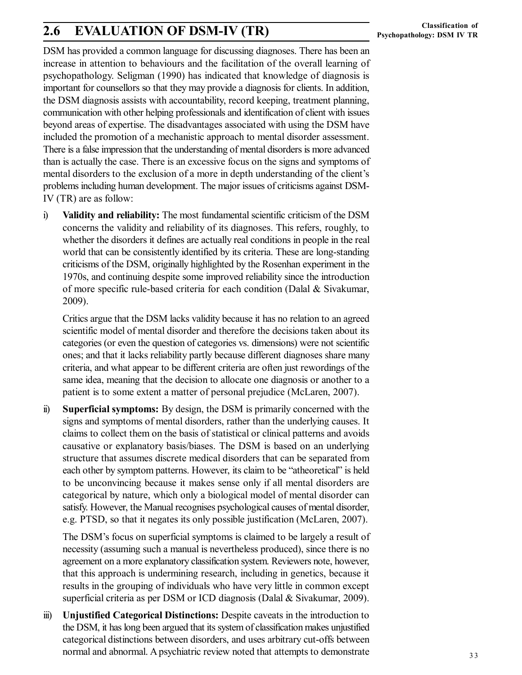## **2.6 EVALUATION OF DSM-IV (TR)**

DSM has provided a common language for discussing diagnoses. There has been an increase in attention to behaviours and the facilitation of the overall learning of psychopathology. Seligman (1990) has indicated that knowledge of diagnosis is important for counsellors so that they may provide a diagnosis for clients. In addition, the DSM diagnosis assists with accountability, record keeping, treatment planning, communication with other helping professionals and identification of client with issues beyond areas of expertise. The disadvantages associated with using the DSM have included the promotion of a mechanistic approach to mental disorder assessment. There is a false impression that the understanding of mental disorders is more advanced than is actually the case. There is an excessive focus on the signs and symptoms of mental disorders to the exclusion of a more in depth understanding of the client's problems including human development. The major issues of criticisms against DSM-IV (TR) are as follow:

i) **Validity and reliability:** The most fundamental scientific criticism of the DSM concerns the validity and reliability of its diagnoses. This refers, roughly, to whether the disorders it defines are actually real conditions in people in the real world that can be consistently identified by its criteria. These are long-standing criticisms of the DSM, originally highlighted by the Rosenhan experiment in the 1970s, and continuing despite some improved reliability since the introduction of more specific rule-based criteria for each condition (Dalal & Sivakumar, 2009).

Critics argue that the DSM lacks validity because it has no relation to an agreed scientific model of mental disorder and therefore the decisions taken about its categories (or even the question of categories vs. dimensions) were not scientific ones; and that it lacks reliability partly because different diagnoses share many criteria, and what appear to be different criteria are often just rewordings of the same idea, meaning that the decision to allocate one diagnosis or another to a patient is to some extent a matter of personal prejudice (McLaren, 2007).

ii) **Superficial symptoms:** By design, the DSM is primarily concerned with the signs and symptoms of mental disorders, rather than the underlying causes. It claims to collect them on the basis of statistical or clinical patterns and avoids causative or explanatory basis/biases. The DSM is based on an underlying structure that assumes discrete medical disorders that can be separated from each other by symptom patterns. However, its claim to be "atheoretical" is held to be unconvincing because it makes sense only if all mental disorders are categorical by nature, which only a biological model of mental disorder can satisfy. However, the Manual recognises psychological causes of mental disorder, e.g. PTSD, so that it negates its only possible justification (McLaren, 2007).

The DSM's focus on superficial symptoms is claimed to be largely a result of necessity (assuming such a manual is nevertheless produced), since there is no agreement on a more explanatory classification system. Reviewers note, however, that this approach is undermining research, including in genetics, because it results in the grouping of individuals who have very little in common except superficial criteria as per DSM or ICD diagnosis (Dalal & Sivakumar, 2009).

iii) **Unjustified Categorical Distinctions:** Despite caveats in the introduction to the DSM, it has long been argued that its system of classification makes unjustified categorical distinctions between disorders, and uses arbitrary cut-offs between normal and abnormal. A psychiatric review noted that attempts to demonstrate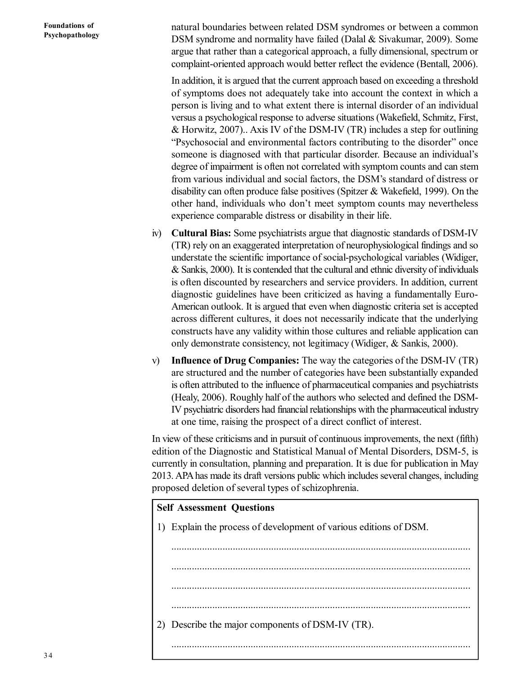natural boundaries between related DSM syndromes or between a common DSM syndrome and normality have failed (Dalal & Sivakumar, 2009). Some argue that rather than a categorical approach, a fully dimensional, spectrum or complaint-oriented approach would better reflect the evidence (Bentall, 2006).

In addition, it is argued that the current approach based on exceeding a threshold of symptoms does not adequately take into account the context in which a person is living and to what extent there is internal disorder of an individual versus a psychological response to adverse situations (Wakefield, Schmitz, First, & Horwitz, 2007).. Axis IV of the DSM-IV (TR) includes a step for outlining "Psychosocial and environmental factors contributing to the disorder" once someone is diagnosed with that particular disorder. Because an individual's degree of impairment is often not correlated with symptom counts and can stem from various individual and social factors, the DSM's standard of distress or disability can often produce false positives (Spitzer & Wakefield, 1999). On the other hand, individuals who don't meet symptom counts may nevertheless experience comparable distress or disability in their life.

- iv) **Cultural Bias:** Some psychiatrists argue that diagnostic standards of DSM-IV (TR) rely on an exaggerated interpretation of neurophysiological findings and so understate the scientific importance of social-psychological variables (Widiger, & Sankis, 2000). It is contended that the cultural and ethnic diversity of individuals is often discounted by researchers and service providers. In addition, current diagnostic guidelines have been criticized as having a fundamentally Euro-American outlook. It is argued that even when diagnostic criteria set is accepted across different cultures, it does not necessarily indicate that the underlying constructs have any validity within those cultures and reliable application can only demonstrate consistency, not legitimacy (Widiger, & Sankis, 2000).
- v) **Influence of Drug Companies:** The way the categories of the DSM-IV (TR) are structured and the number of categories have been substantially expanded is often attributed to the influence of pharmaceutical companies and psychiatrists (Healy, 2006). Roughly half of the authors who selected and defined the DSM-IV psychiatric disorders had financial relationships with the pharmaceutical industry at one time, raising the prospect of a direct conflict of interest.

In view of these criticisms and in pursuit of continuous improvements, the next (fifth) edition of the Diagnostic and Statistical Manual of Mental Disorders, DSM-5, is currently in consultation, planning and preparation. It is due for publication in May 2013. APA has made its draft versions public which includes several changes, including proposed deletion of several types of schizophrenia.

.....................................................................................................................

.....................................................................................................................

.....................................................................................................................

#### **Self Assessment Questions**

1) Explain the process of development of various editions of DSM.

..................................................................................................................... .....................................................................................................................

2) Describe the major components of DSM-IV (TR).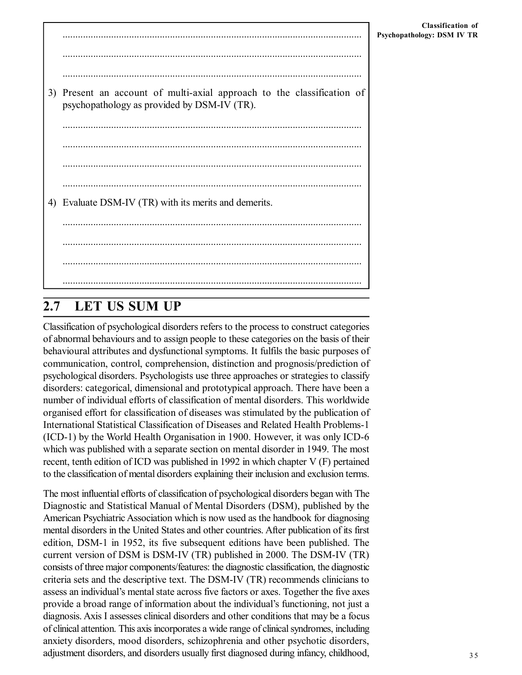..................................................................................................................... ..................................................................................................................... 3) Present an account of multi-axial approach to the classification of psychopathology as provided by DSM-IV (TR). ..................................................................................................................... ..................................................................................................................... ..................................................................................................................... 4) Evaluate DSM-IV (TR) with its merits and demerits. ..................................................................................................................... ..................................................................................................................... ..................................................................................................................... .....................................................................................................................

## **2.7 LET US SUM UP**

Classification of psychological disorders refers to the process to construct categories of abnormal behaviours and to assign people to these categories on the basis of their behavioural attributes and dysfunctional symptoms. It fulfils the basic purposes of communication, control, comprehension, distinction and prognosis/prediction of psychological disorders. Psychologists use three approaches or strategies to classify disorders: categorical, dimensional and prototypical approach. There have been a number of individual efforts of classification of mental disorders. This worldwide organised effort for classification of diseases was stimulated by the publication of International Statistical Classification of Diseases and Related Health Problems-1 (ICD-1) by the World Health Organisation in 1900. However, it was only ICD-6 which was published with a separate section on mental disorder in 1949. The most recent, tenth edition of ICD was published in 1992 in which chapter V (F) pertained to the classification of mental disorders explaining their inclusion and exclusion terms.

The most influential efforts of classification of psychological disorders began with The Diagnostic and Statistical Manual of Mental Disorders (DSM), published by the American Psychiatric Association which is now used as the handbook for diagnosing mental disorders in the United States and other countries. After publication of its first edition, DSM-1 in 1952, its five subsequent editions have been published. The current version of DSM is DSM-IV (TR) published in 2000. The DSM-IV (TR) consists of three major components/features: the diagnostic classification, the diagnostic criteria sets and the descriptive text. The DSM-IV (TR) recommends clinicians to assess an individual's mental state across five factors or axes. Together the five axes provide a broad range of information about the individual's functioning, not just a diagnosis. Axis I assesses clinical disorders and other conditions that may be a focus of clinical attention. This axis incorporates a wide range of clinical syndromes, including anxiety disorders, mood disorders, schizophrenia and other psychotic disorders, adjustment disorders, and disorders usually first diagnosed during infancy, childhood,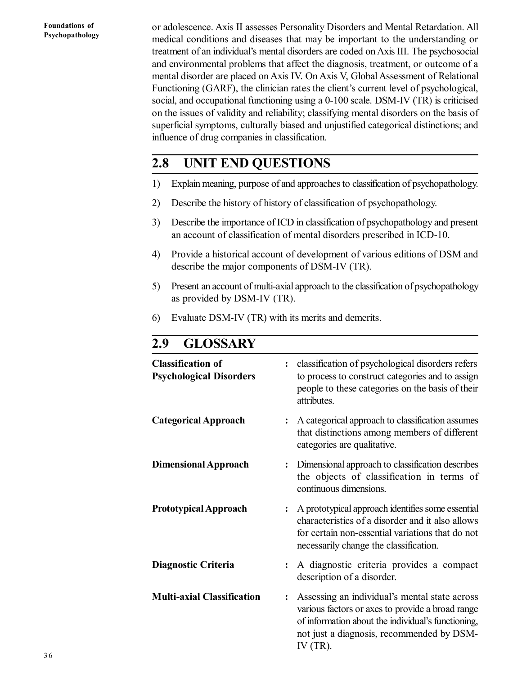or adolescence. Axis II assesses Personality Disorders and Mental Retardation. All medical conditions and diseases that may be important to the understanding or treatment of an individual's mental disorders are coded on Axis III. The psychosocial and environmental problems that affect the diagnosis, treatment, or outcome of a mental disorder are placed on Axis IV. On Axis V, Global Assessment of Relational Functioning (GARF), the clinician rates the client's current level of psychological, social, and occupational functioning using a 0-100 scale. DSM-IV (TR) is criticised on the issues of validity and reliability; classifying mental disorders on the basis of superficial symptoms, culturally biased and unjustified categorical distinctions; and influence of drug companies in classification.

### **2.8 UNIT END QUESTIONS**

- 1) Explain meaning, purpose of and approaches to classification of psychopathology.
- 2) Describe the history of history of classification of psychopathology.
- 3) Describe the importance of ICD in classification of psychopathology and present an account of classification of mental disorders prescribed in ICD-10.
- 4) Provide a historical account of development of various editions of DSM and describe the major components of DSM-IV (TR).
- 5) Present an account of multi-axial approach to the classification of psychopathology as provided by DSM-IV (TR).
- 6) Evaluate DSM-IV (TR) with its merits and demerits.

### **2.9 GLOSSARY**

| <b>Classification of</b><br><b>Psychological Disorders</b> | classification of psychological disorders refers<br>$\ddot{\cdot}$<br>to process to construct categories and to assign<br>people to these categories on the basis of their<br>attributes.                           |
|------------------------------------------------------------|---------------------------------------------------------------------------------------------------------------------------------------------------------------------------------------------------------------------|
| <b>Categorical Approach</b>                                | A categorical approach to classification assumes<br>that distinctions among members of different<br>categories are qualitative.                                                                                     |
| <b>Dimensional Approach</b>                                | Dimensional approach to classification describes<br>the objects of classification in terms of<br>continuous dimensions.                                                                                             |
| <b>Prototypical Approach</b>                               | A prototypical approach identifies some essential<br>characteristics of a disorder and it also allows<br>for certain non-essential variations that do not<br>necessarily change the classification.                 |
| <b>Diagnostic Criteria</b>                                 | A diagnostic criteria provides a compact<br>description of a disorder.                                                                                                                                              |
| <b>Multi-axial Classification</b>                          | Assessing an individual's mental state across<br>various factors or axes to provide a broad range<br>of information about the individual's functioning,<br>not just a diagnosis, recommended by DSM-<br>IV $(TR)$ . |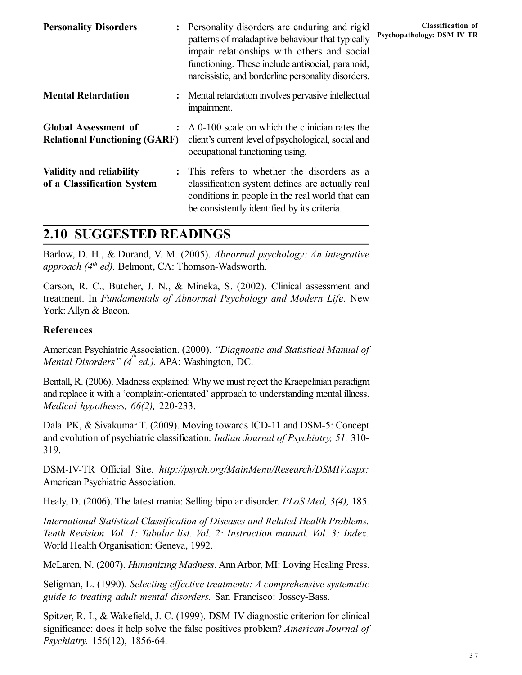| <b>Personality Disorders</b>                                        | : Personality disorders are enduring and rigid<br>patterns of maladaptive behaviour that typically<br>impair relationships with others and social<br>functioning. These include antisocial, paranoid,<br>narcissistic, and borderline personality disorders. | <b>Classification</b> of<br><b>Psychopathology: DSM IV TR</b> |
|---------------------------------------------------------------------|--------------------------------------------------------------------------------------------------------------------------------------------------------------------------------------------------------------------------------------------------------------|---------------------------------------------------------------|
| <b>Mental Retardation</b>                                           | : Mental retardation involves pervasive intellectual<br>impairment.                                                                                                                                                                                          |                                                               |
| <b>Global Assessment of</b><br><b>Relational Functioning (GARF)</b> | : A 0-100 scale on which the clinician rates the<br>client's current level of psychological, social and<br>occupational functioning using.                                                                                                                   |                                                               |
| <b>Validity and reliability</b><br>of a Classification System       | : This refers to whether the disorders as a<br>classification system defines are actually real<br>conditions in people in the real world that can<br>be consistently identified by its criteria.                                                             |                                                               |

### **2.10 SUGGESTED READINGS**

Barlow, D. H., & Durand, V. M. (2005). *Abnormal psychology: An integrative approach (4th ed).* Belmont, CA: Thomson-Wadsworth.

Carson, R. C., Butcher, J. N., & Mineka, S. (2002). Clinical assessment and treatment. In *Fundamentals of Abnormal Psychology and Modern Life*. New York: Allyn & Bacon.

#### **References**

American Psychiatric Association. (2000). *"Diagnostic and Statistical Manual of Mental Disorders" (4 th ed.).* APA: Washington, DC.

Bentall, R. (2006). Madness explained: Why we must reject the Kraepelinian paradigm and replace it with a 'complaint-orientated' approach to understanding mental illness. *Medical hypotheses, 66(2),* 220-233.

Dalal PK, & Sivakumar T. (2009). Moving towards ICD-11 and DSM-5: Concept and evolution of psychiatric classification. *Indian Journal of Psychiatry, 51,* 310- 319.

DSM-IV-TR Official Site. *http://psych.org/MainMenu/Research/DSMIV.aspx:* American Psychiatric Association.

Healy, D. (2006). The latest mania: Selling bipolar disorder. *PLoS Med, 3(4),* 185.

*International Statistical Classification of Diseases and Related Health Problems. Tenth Revision. Vol. 1: Tabular list. Vol. 2: Instruction manual. Vol. 3: Index.* World Health Organisation: Geneva, 1992.

McLaren, N. (2007). *Humanizing Madness.* Ann Arbor, MI: Loving Healing Press.

Seligman, L. (1990). *Selecting effective treatments: A comprehensive systematic guide to treating adult mental disorders.* San Francisco: Jossey-Bass.

Spitzer, R. L, & Wakefield, J. C. (1999). DSM-IV diagnostic criterion for clinical significance: does it help solve the false positives problem? *American Journal of Psychiatry.* 156(12), 1856-64.